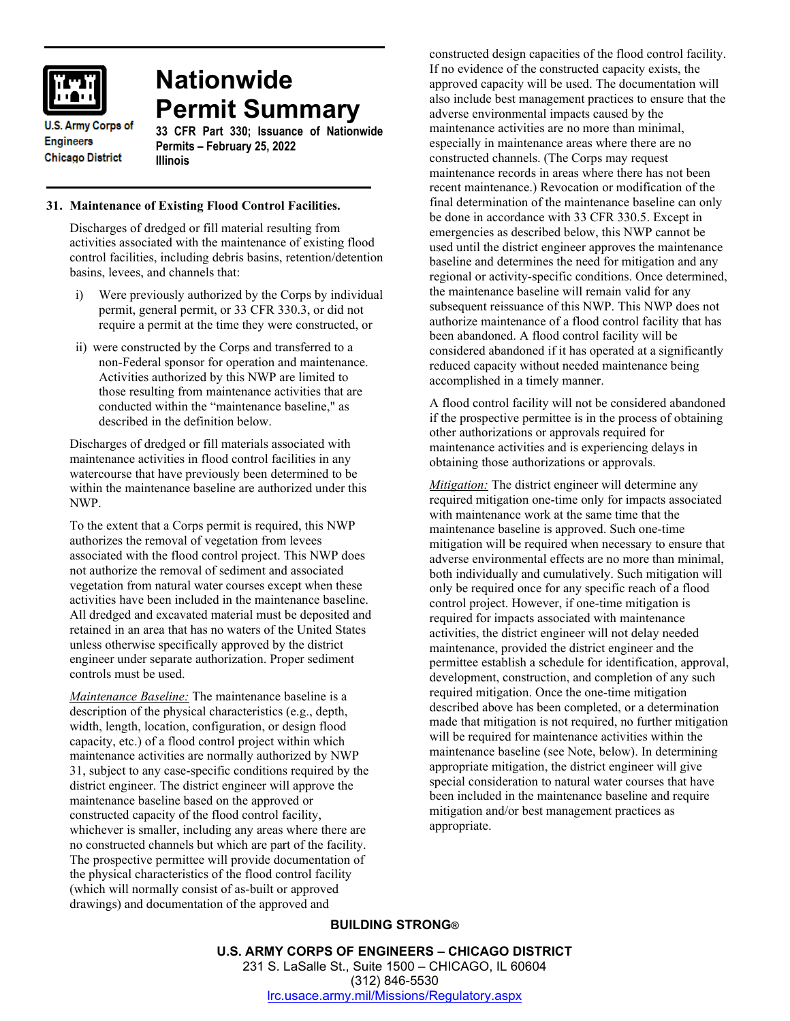

# **Nationwide Permit Summary**

**U.S. Army Corps of Engineers Chicago District** 

**33 CFR Part 330; Issuance of Nationwide Permits – February 25, 2022 Illinois**

# **31. Maintenance of Existing Flood Control Facilities.**

Discharges of dredged or fill material resulting from activities associated with the maintenance of existing flood control facilities, including debris basins, retention/detention basins, levees, and channels that:

- i) Were previously authorized by the Corps by individual permit, general permit, or 33 CFR 330.3, or did not require a permit at the time they were constructed, or
- ii) were constructed by the Corps and transferred to a non-Federal sponsor for operation and maintenance. Activities authorized by this NWP are limited to those resulting from maintenance activities that are conducted within the "maintenance baseline," as described in the definition below.

Discharges of dredged or fill materials associated with maintenance activities in flood control facilities in any watercourse that have previously been determined to be within the maintenance baseline are authorized under this NWP.

To the extent that a Corps permit is required, this NWP authorizes the removal of vegetation from levees associated with the flood control project. This NWP does not authorize the removal of sediment and associated vegetation from natural water courses except when these activities have been included in the maintenance baseline. All dredged and excavated material must be deposited and retained in an area that has no waters of the United States unless otherwise specifically approved by the district engineer under separate authorization. Proper sediment controls must be used.

*Maintenance Baseline:* The maintenance baseline is a description of the physical characteristics (e.g., depth, width, length, location, configuration, or design flood capacity, etc.) of a flood control project within which maintenance activities are normally authorized by NWP 31, subject to any case-specific conditions required by the district engineer. The district engineer will approve the maintenance baseline based on the approved or constructed capacity of the flood control facility, whichever is smaller, including any areas where there are no constructed channels but which are part of the facility. The prospective permittee will provide documentation of the physical characteristics of the flood control facility (which will normally consist of as-built or approved drawings) and documentation of the approved and

constructed design capacities of the flood control facility. If no evidence of the constructed capacity exists, the approved capacity will be used. The documentation will also include best management practices to ensure that the adverse environmental impacts caused by the maintenance activities are no more than minimal, especially in maintenance areas where there are no constructed channels. (The Corps may request maintenance records in areas where there has not been recent maintenance.) Revocation or modification of the final determination of the maintenance baseline can only be done in accordance with 33 CFR 330.5. Except in emergencies as described below, this NWP cannot be used until the district engineer approves the maintenance baseline and determines the need for mitigation and any regional or activity-specific conditions. Once determined, the maintenance baseline will remain valid for any subsequent reissuance of this NWP. This NWP does not authorize maintenance of a flood control facility that has been abandoned. A flood control facility will be considered abandoned if it has operated at a significantly reduced capacity without needed maintenance being accomplished in a timely manner.

A flood control facility will not be considered abandoned if the prospective permittee is in the process of obtaining other authorizations or approvals required for maintenance activities and is experiencing delays in obtaining those authorizations or approvals.

*Mitigation:* The district engineer will determine any required mitigation one-time only for impacts associated with maintenance work at the same time that the maintenance baseline is approved. Such one-time mitigation will be required when necessary to ensure that adverse environmental effects are no more than minimal, both individually and cumulatively. Such mitigation will only be required once for any specific reach of a flood control project. However, if one-time mitigation is required for impacts associated with maintenance activities, the district engineer will not delay needed maintenance, provided the district engineer and the permittee establish a schedule for identification, approval, development, construction, and completion of any such required mitigation. Once the one-time mitigation described above has been completed, or a determination made that mitigation is not required, no further mitigation will be required for maintenance activities within the maintenance baseline (see Note, below). In determining appropriate mitigation, the district engineer will give special consideration to natural water courses that have been included in the maintenance baseline and require mitigation and/or best management practices as appropriate.

# **BUILDING STRONG®**

**U.S. ARMY CORPS OF ENGINEERS – CHICAGO DISTRICT** 231 S. LaSalle St., Suite 1500 – CHICAGO, IL 60604 (312) 846-5530 [lrc.usace.army.mil/Missions/Regulatory.aspx](https://www.lrc.usace.army.mil/Missions/Regulatory.aspx)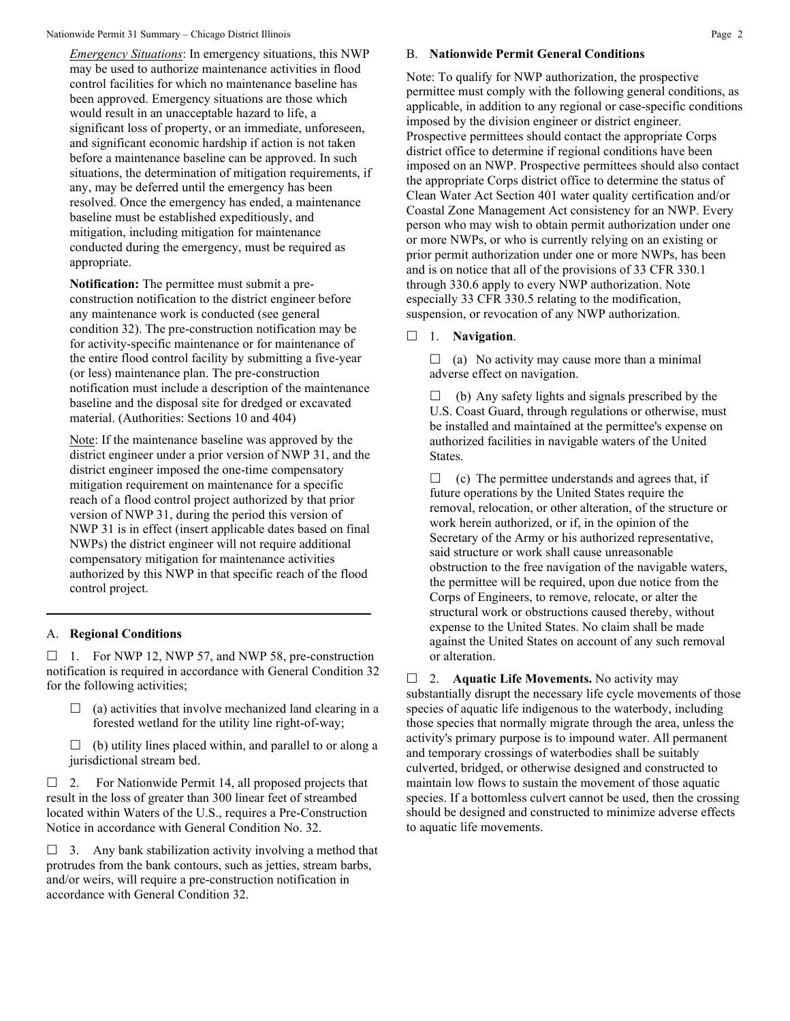*Emergency Situations*: In emergency situations, this NWP may be used to authorize maintenance activities in flood control facilities for which no maintenance baseline has been approved. Emergency situations are those which would result in an unacceptable hazard to life, a significant loss of property, or an immediate, unforeseen, and significant economic hardship if action is not taken before a maintenance baseline can be approved. In such situations, the determination of mitigation requirements, if any, may be deferred until the emergency has been resolved. Once the emergency has ended, a maintenance baseline must be established expeditiously, and mitigation, including mitigation for maintenance conducted during the emergency, must be required as appropriate.

**Notification:** The permittee must submit a preconstruction notification to the district engineer before any maintenance work is conducted (see general condition 32). The pre-construction notification may be for activity-specific maintenance or for maintenance of the entire flood control facility by submitting a five-year (or less) maintenance plan. The pre-construction notification must include a description of the maintenance baseline and the disposal site for dredged or excavated material. (Authorities: Sections 10 and 404)

Note: If the maintenance baseline was approved by the district engineer under a prior version of NWP 31, and the district engineer imposed the one-time compensatory mitigation requirement on maintenance for a specific reach of a flood control project authorized by that prior version of NWP 31, during the period this version of NWP 31 is in effect (insert applicable dates based on final NWPs) the district engineer will not require additional compensatory mitigation for maintenance activities authorized by this NWP in that specific reach of the flood control project.

# A. **Regional Conditions**

 $\Box$  1. For NWP 12, NWP 57, and NWP 58, pre-construction notification is required in accordance with General Condition 32 for the following activities;

- $\Box$  (a) activities that involve mechanized land clearing in a forested wetland for the utility line right-of-way;
- $\Box$  (b) utility lines placed within, and parallel to or along a jurisdictional stream bed.

 $\Box$  2. For Nationwide Permit 14, all proposed projects that result in the loss of greater than 300 linear feet of streambed located within Waters of the U.S., requires a Pre-Construction Notice in accordance with General Condition No. 32.

 $\Box$  3. Any bank stabilization activity involving a method that protrudes from the bank contours, such as jetties, stream barbs, and/or weirs, will require a pre-construction notification in accordance with General Condition 32.

Note: To qualify for NWP authorization, the prospective permittee must comply with the following general conditions, as applicable, in addition to any regional or case-specific conditions imposed by the division engineer or district engineer. Prospective permittees should contact the appropriate Corps district office to determine if regional conditions have been imposed on an NWP. Prospective permittees should also contact the appropriate Corps district office to determine the status of Clean Water Act Section 401 water quality certification and/or Coastal Zone Management Act consistency for an NWP. Every person who may wish to obtain permit authorization under one or more NWPs, or who is currently relying on an existing or prior permit authorization under one or more NWPs, has been and is on notice that all of the provisions of 33 CFR 330.1 through 330.6 apply to every NWP authorization. Note especially 33 CFR 330.5 relating to the modification, suspension, or revocation of any NWP authorization.

## 1. **Navigation**.

 $\Box$  (a) No activity may cause more than a minimal adverse effect on navigation.

 $\Box$  (b) Any safety lights and signals prescribed by the U.S. Coast Guard, through regulations or otherwise, must be installed and maintained at the permittee's expense on authorized facilities in navigable waters of the United States.

 $\Box$  (c) The permittee understands and agrees that, if future operations by the United States require the removal, relocation, or other alteration, of the structure or work herein authorized, or if, in the opinion of the Secretary of the Army or his authorized representative, said structure or work shall cause unreasonable obstruction to the free navigation of the navigable waters, the permittee will be required, upon due notice from the Corps of Engineers, to remove, relocate, or alter the structural work or obstructions caused thereby, without expense to the United States. No claim shall be made against the United States on account of any such removal or alteration.

□ 2. **Aquatic Life Movements.** No activity may substantially disrupt the necessary life cycle movements of those species of aquatic life indigenous to the waterbody, including those species that normally migrate through the area, unless the activity's primary purpose is to impound water. All permanent and temporary crossings of waterbodies shall be suitably culverted, bridged, or otherwise designed and constructed to maintain low flows to sustain the movement of those aquatic species. If a bottomless culvert cannot be used, then the crossing should be designed and constructed to minimize adverse effects to aquatic life movements.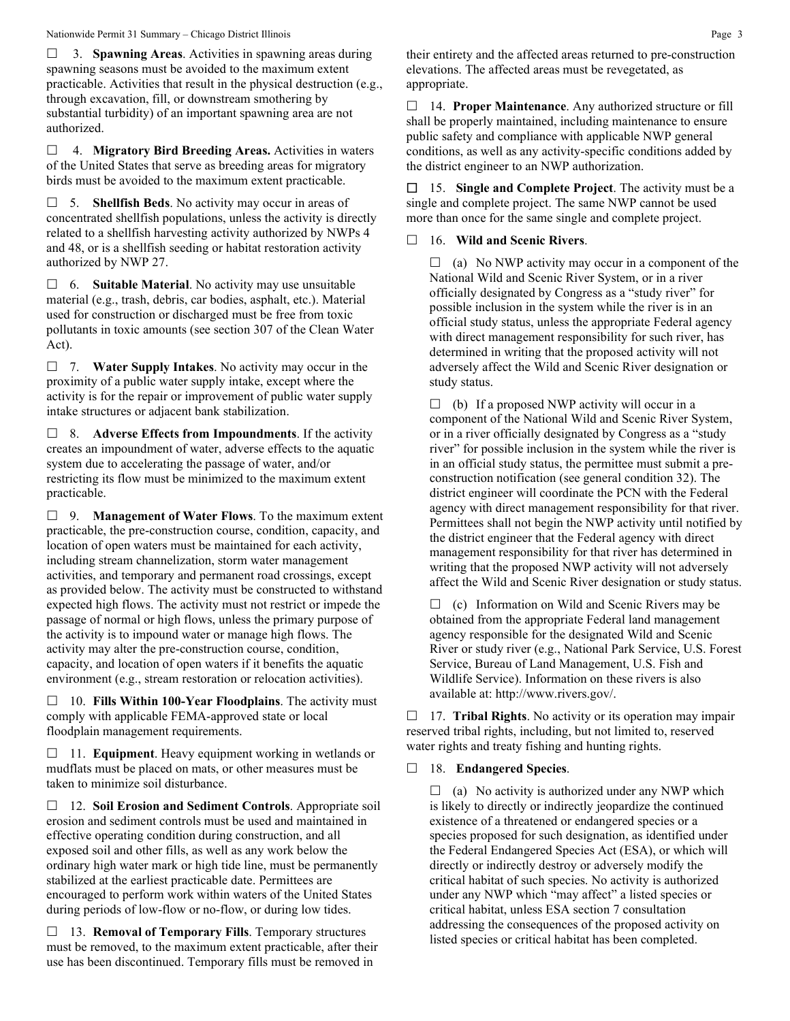### Nationwide Permit 31 Summary – Chicago District Illinois **Page 3** and the state of the state of the state of the state of the state of the state of the state of the state of the state of the state of the state of the state

 3. **Spawning Areas**. Activities in spawning areas during spawning seasons must be avoided to the maximum extent practicable. Activities that result in the physical destruction (e.g., through excavation, fill, or downstream smothering by substantial turbidity) of an important spawning area are not authorized.

 4. **Migratory Bird Breeding Areas.** Activities in waters of the United States that serve as breeding areas for migratory birds must be avoided to the maximum extent practicable.

 5. **Shellfish Beds**. No activity may occur in areas of concentrated shellfish populations, unless the activity is directly related to a shellfish harvesting activity authorized by NWPs 4 and 48, or is a shellfish seeding or habitat restoration activity authorized by NWP 27.

 6. **Suitable Material**. No activity may use unsuitable material (e.g., trash, debris, car bodies, asphalt, etc.). Material used for construction or discharged must be free from toxic pollutants in toxic amounts (see section 307 of the Clean Water Act).

 7. **Water Supply Intakes**. No activity may occur in the proximity of a public water supply intake, except where the activity is for the repair or improvement of public water supply intake structures or adjacent bank stabilization.

 8. **Adverse Effects from Impoundments**. If the activity creates an impoundment of water, adverse effects to the aquatic system due to accelerating the passage of water, and/or restricting its flow must be minimized to the maximum extent practicable.

 9. **Management of Water Flows**. To the maximum extent practicable, the pre-construction course, condition, capacity, and location of open waters must be maintained for each activity, including stream channelization, storm water management activities, and temporary and permanent road crossings, except as provided below. The activity must be constructed to withstand expected high flows. The activity must not restrict or impede the passage of normal or high flows, unless the primary purpose of the activity is to impound water or manage high flows. The activity may alter the pre-construction course, condition, capacity, and location of open waters if it benefits the aquatic environment (e.g., stream restoration or relocation activities).

 10. **Fills Within 100-Year Floodplains**. The activity must comply with applicable FEMA-approved state or local floodplain management requirements.

□ 11. **Equipment**. Heavy equipment working in wetlands or mudflats must be placed on mats, or other measures must be taken to minimize soil disturbance.

 12. **Soil Erosion and Sediment Controls**. Appropriate soil erosion and sediment controls must be used and maintained in effective operating condition during construction, and all exposed soil and other fills, as well as any work below the ordinary high water mark or high tide line, must be permanently stabilized at the earliest practicable date. Permittees are encouraged to perform work within waters of the United States during periods of low-flow or no-flow, or during low tides.

 13. **Removal of Temporary Fills**. Temporary structures must be removed, to the maximum extent practicable, after their use has been discontinued. Temporary fills must be removed in

their entirety and the affected areas returned to pre-construction elevations. The affected areas must be revegetated, as appropriate.

 14. **Proper Maintenance**. Any authorized structure or fill shall be properly maintained, including maintenance to ensure public safety and compliance with applicable NWP general conditions, as well as any activity-specific conditions added by the district engineer to an NWP authorization.

 15. **Single and Complete Project**. The activity must be a single and complete project. The same NWP cannot be used more than once for the same single and complete project.

# 16. **Wild and Scenic Rivers**.

 $\Box$  (a) No NWP activity may occur in a component of the National Wild and Scenic River System, or in a river officially designated by Congress as a "study river" for possible inclusion in the system while the river is in an official study status, unless the appropriate Federal agency with direct management responsibility for such river, has determined in writing that the proposed activity will not adversely affect the Wild and Scenic River designation or study status.

 $\Box$  (b) If a proposed NWP activity will occur in a component of the National Wild and Scenic River System, or in a river officially designated by Congress as a "study river" for possible inclusion in the system while the river is in an official study status, the permittee must submit a preconstruction notification (see general condition 32). The district engineer will coordinate the PCN with the Federal agency with direct management responsibility for that river. Permittees shall not begin the NWP activity until notified by the district engineer that the Federal agency with direct management responsibility for that river has determined in writing that the proposed NWP activity will not adversely affect the Wild and Scenic River designation or study status.

 $\Box$  (c) Information on Wild and Scenic Rivers may be obtained from the appropriate Federal land management agency responsible for the designated Wild and Scenic River or study river (e.g., National Park Service, U.S. Forest Service, Bureau of Land Management, U.S. Fish and Wildlife Service). Information on these rivers is also available at: http://www.rivers.gov/.

 17. **Tribal Rights**. No activity or its operation may impair reserved tribal rights, including, but not limited to, reserved water rights and treaty fishing and hunting rights.

## 18. **Endangered Species**.

 $\Box$  (a) No activity is authorized under any NWP which is likely to directly or indirectly jeopardize the continued existence of a threatened or endangered species or a species proposed for such designation, as identified under the Federal Endangered Species Act (ESA), or which will directly or indirectly destroy or adversely modify the critical habitat of such species. No activity is authorized under any NWP which "may affect" a listed species or critical habitat, unless ESA section 7 consultation addressing the consequences of the proposed activity on listed species or critical habitat has been completed.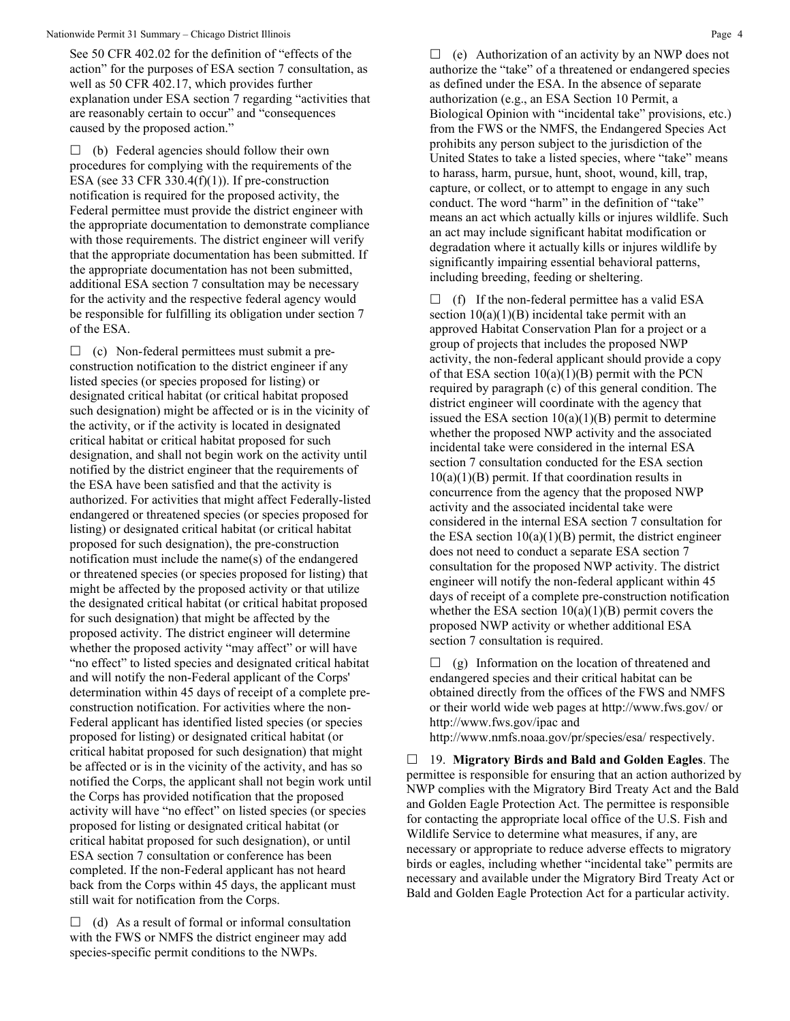See 50 CFR 402.02 for the definition of "effects of the action" for the purposes of ESA section 7 consultation, as well as 50 CFR 402.17, which provides further explanation under ESA section 7 regarding "activities that are reasonably certain to occur" and "consequences caused by the proposed action."

 $\Box$  (b) Federal agencies should follow their own procedures for complying with the requirements of the ESA (see 33 CFR 330.4 $(f)(1)$ ). If pre-construction notification is required for the proposed activity, the Federal permittee must provide the district engineer with the appropriate documentation to demonstrate compliance with those requirements. The district engineer will verify that the appropriate documentation has been submitted. If the appropriate documentation has not been submitted, additional ESA section 7 consultation may be necessary for the activity and the respective federal agency would be responsible for fulfilling its obligation under section 7 of the ESA.

 $\Box$  (c) Non-federal permittees must submit a preconstruction notification to the district engineer if any listed species (or species proposed for listing) or designated critical habitat (or critical habitat proposed such designation) might be affected or is in the vicinity of the activity, or if the activity is located in designated critical habitat or critical habitat proposed for such designation, and shall not begin work on the activity until notified by the district engineer that the requirements of the ESA have been satisfied and that the activity is authorized. For activities that might affect Federally-listed endangered or threatened species (or species proposed for listing) or designated critical habitat (or critical habitat proposed for such designation), the pre-construction notification must include the name(s) of the endangered or threatened species (or species proposed for listing) that might be affected by the proposed activity or that utilize the designated critical habitat (or critical habitat proposed for such designation) that might be affected by the proposed activity. The district engineer will determine whether the proposed activity "may affect" or will have "no effect" to listed species and designated critical habitat and will notify the non-Federal applicant of the Corps' determination within 45 days of receipt of a complete preconstruction notification. For activities where the non-Federal applicant has identified listed species (or species proposed for listing) or designated critical habitat (or critical habitat proposed for such designation) that might be affected or is in the vicinity of the activity, and has so notified the Corps, the applicant shall not begin work until the Corps has provided notification that the proposed activity will have "no effect" on listed species (or species proposed for listing or designated critical habitat (or critical habitat proposed for such designation), or until ESA section 7 consultation or conference has been completed. If the non-Federal applicant has not heard back from the Corps within 45 days, the applicant must still wait for notification from the Corps.

 $\Box$  (d) As a result of formal or informal consultation with the FWS or NMFS the district engineer may add species-specific permit conditions to the NWPs.

 $\Box$  (e) Authorization of an activity by an NWP does not authorize the "take" of a threatened or endangered species as defined under the ESA. In the absence of separate authorization (e.g., an ESA Section 10 Permit, a Biological Opinion with "incidental take" provisions, etc.) from the FWS or the NMFS, the Endangered Species Act prohibits any person subject to the jurisdiction of the United States to take a listed species, where "take" means to harass, harm, pursue, hunt, shoot, wound, kill, trap, capture, or collect, or to attempt to engage in any such conduct. The word "harm" in the definition of "take" means an act which actually kills or injures wildlife. Such an act may include significant habitat modification or degradation where it actually kills or injures wildlife by significantly impairing essential behavioral patterns, including breeding, feeding or sheltering.

 $\Box$  (f) If the non-federal permittee has a valid ESA section  $10(a)(1)(B)$  incidental take permit with an approved Habitat Conservation Plan for a project or a group of projects that includes the proposed NWP activity, the non-federal applicant should provide a copy of that ESA section  $10(a)(1)(B)$  permit with the PCN required by paragraph (c) of this general condition. The district engineer will coordinate with the agency that issued the ESA section  $10(a)(1)(B)$  permit to determine whether the proposed NWP activity and the associated incidental take were considered in the internal ESA section 7 consultation conducted for the ESA section  $10(a)(1)(B)$  permit. If that coordination results in concurrence from the agency that the proposed NWP activity and the associated incidental take were considered in the internal ESA section 7 consultation for the ESA section  $10(a)(1)(B)$  permit, the district engineer does not need to conduct a separate ESA section 7 consultation for the proposed NWP activity. The district engineer will notify the non-federal applicant within 45 days of receipt of a complete pre-construction notification whether the ESA section 10(a)(1)(B) permit covers the proposed NWP activity or whether additional ESA section 7 consultation is required.

 $\Box$  (g) Information on the location of threatened and endangered species and their critical habitat can be obtained directly from the offices of the FWS and NMFS or their world wide web pages at http://www.fws.gov/ or http://www.fws.gov/ipac and

http://www.nmfs.noaa.gov/pr/species/esa/ respectively.

 19. **Migratory Birds and Bald and Golden Eagles**. The permittee is responsible for ensuring that an action authorized by NWP complies with the Migratory Bird Treaty Act and the Bald and Golden Eagle Protection Act. The permittee is responsible for contacting the appropriate local office of the U.S. Fish and Wildlife Service to determine what measures, if any, are necessary or appropriate to reduce adverse effects to migratory birds or eagles, including whether "incidental take" permits are necessary and available under the Migratory Bird Treaty Act or Bald and Golden Eagle Protection Act for a particular activity.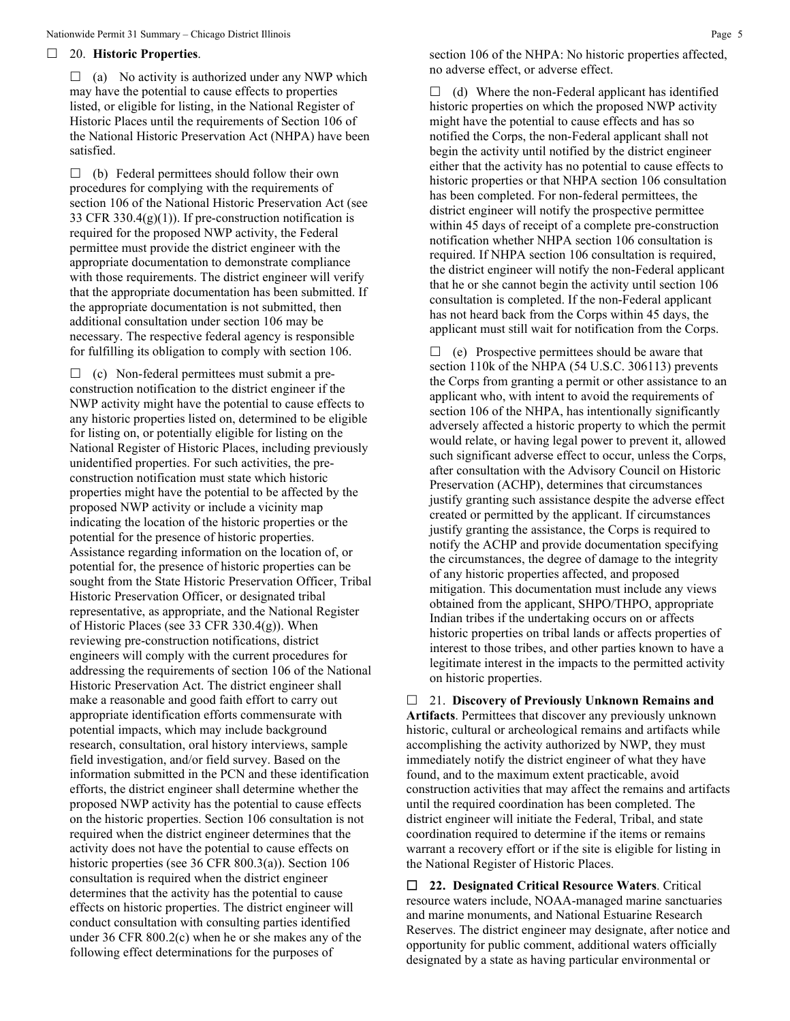### 20. **Historic Properties**.

 $\Box$  (a) No activity is authorized under any NWP which may have the potential to cause effects to properties listed, or eligible for listing, in the National Register of Historic Places until the requirements of Section 106 of the National Historic Preservation Act (NHPA) have been satisfied.

 $\Box$  (b) Federal permittees should follow their own procedures for complying with the requirements of section 106 of the National Historic Preservation Act (see 33 CFR 330.4(g)(1)). If pre-construction notification is required for the proposed NWP activity, the Federal permittee must provide the district engineer with the appropriate documentation to demonstrate compliance with those requirements. The district engineer will verify that the appropriate documentation has been submitted. If the appropriate documentation is not submitted, then additional consultation under section 106 may be necessary. The respective federal agency is responsible for fulfilling its obligation to comply with section 106.

 $\Box$  (c) Non-federal permittees must submit a preconstruction notification to the district engineer if the NWP activity might have the potential to cause effects to any historic properties listed on, determined to be eligible for listing on, or potentially eligible for listing on the National Register of Historic Places, including previously unidentified properties. For such activities, the preconstruction notification must state which historic properties might have the potential to be affected by the proposed NWP activity or include a vicinity map indicating the location of the historic properties or the potential for the presence of historic properties. Assistance regarding information on the location of, or potential for, the presence of historic properties can be sought from the State Historic Preservation Officer, Tribal Historic Preservation Officer, or designated tribal representative, as appropriate, and the National Register of Historic Places (see 33 CFR 330.4(g)). When reviewing pre-construction notifications, district engineers will comply with the current procedures for addressing the requirements of section 106 of the National Historic Preservation Act. The district engineer shall make a reasonable and good faith effort to carry out appropriate identification efforts commensurate with potential impacts, which may include background research, consultation, oral history interviews, sample field investigation, and/or field survey. Based on the information submitted in the PCN and these identification efforts, the district engineer shall determine whether the proposed NWP activity has the potential to cause effects on the historic properties. Section 106 consultation is not required when the district engineer determines that the activity does not have the potential to cause effects on historic properties (see 36 CFR 800.3(a)). Section 106 consultation is required when the district engineer determines that the activity has the potential to cause effects on historic properties. The district engineer will conduct consultation with consulting parties identified under 36 CFR 800.2(c) when he or she makes any of the following effect determinations for the purposes of

section 106 of the NHPA: No historic properties affected, no adverse effect, or adverse effect.

 $\Box$  (d) Where the non-Federal applicant has identified historic properties on which the proposed NWP activity might have the potential to cause effects and has so notified the Corps, the non-Federal applicant shall not begin the activity until notified by the district engineer either that the activity has no potential to cause effects to historic properties or that NHPA section 106 consultation has been completed. For non-federal permittees, the district engineer will notify the prospective permittee within 45 days of receipt of a complete pre-construction notification whether NHPA section 106 consultation is required. If NHPA section 106 consultation is required, the district engineer will notify the non-Federal applicant that he or she cannot begin the activity until section 106 consultation is completed. If the non-Federal applicant has not heard back from the Corps within 45 days, the applicant must still wait for notification from the Corps.

 $\Box$  (e) Prospective permittees should be aware that section 110k of the NHPA (54 U.S.C. 306113) prevents the Corps from granting a permit or other assistance to an applicant who, with intent to avoid the requirements of section 106 of the NHPA, has intentionally significantly adversely affected a historic property to which the permit would relate, or having legal power to prevent it, allowed such significant adverse effect to occur, unless the Corps, after consultation with the Advisory Council on Historic Preservation (ACHP), determines that circumstances justify granting such assistance despite the adverse effect created or permitted by the applicant. If circumstances justify granting the assistance, the Corps is required to notify the ACHP and provide documentation specifying the circumstances, the degree of damage to the integrity of any historic properties affected, and proposed mitigation. This documentation must include any views obtained from the applicant, SHPO/THPO, appropriate Indian tribes if the undertaking occurs on or affects historic properties on tribal lands or affects properties of interest to those tribes, and other parties known to have a legitimate interest in the impacts to the permitted activity on historic properties.

 21. **Discovery of Previously Unknown Remains and Artifacts**. Permittees that discover any previously unknown historic, cultural or archeological remains and artifacts while accomplishing the activity authorized by NWP, they must immediately notify the district engineer of what they have found, and to the maximum extent practicable, avoid construction activities that may affect the remains and artifacts until the required coordination has been completed. The district engineer will initiate the Federal, Tribal, and state coordination required to determine if the items or remains warrant a recovery effort or if the site is eligible for listing in the National Register of Historic Places.

 **22. Designated Critical Resource Waters**. Critical resource waters include, NOAA-managed marine sanctuaries and marine monuments, and National Estuarine Research Reserves. The district engineer may designate, after notice and opportunity for public comment, additional waters officially designated by a state as having particular environmental or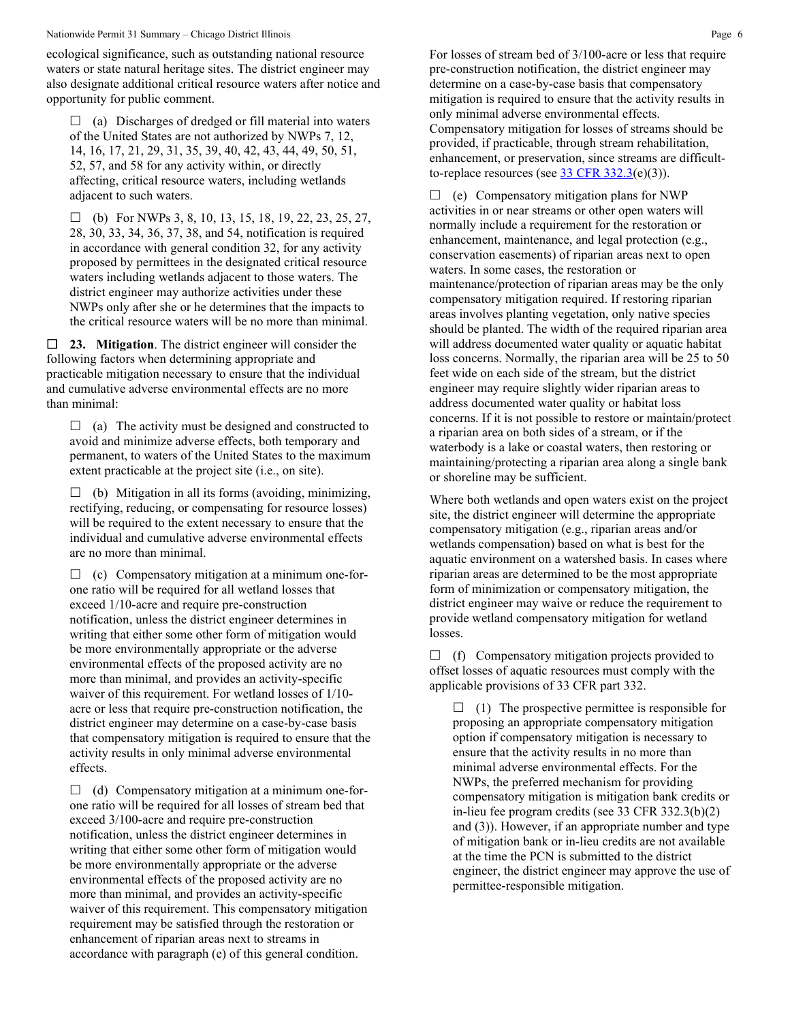### Nationwide Permit 31 Summary – Chicago District Illinois **Page 6** And the *Page 6* Page 6 Page 6 Page 6 Page 6 Page 6 Page 6 Page 6 Page 6 Page 6 Page 6 Page 6 Page 6 Page 6 Page 6 Page 6 Page 7 Page 6 Page 7 Page 7 Page 7

ecological significance, such as outstanding national resource waters or state natural heritage sites. The district engineer may also designate additional critical resource waters after notice and opportunity for public comment.

 $\Box$  (a) Discharges of dredged or fill material into waters of the United States are not authorized by NWPs 7, 12, 14, 16, 17, 21, 29, 31, 35, 39, 40, 42, 43, 44, 49, 50, 51, 52, 57, and 58 for any activity within, or directly affecting, critical resource waters, including wetlands adjacent to such waters.

 $\Box$  (b) For NWPs 3, 8, 10, 13, 15, 18, 19, 22, 23, 25, 27, 28, 30, 33, 34, 36, 37, 38, and 54, notification is required in accordance with general condition 32, for any activity proposed by permittees in the designated critical resource waters including wetlands adjacent to those waters. The district engineer may authorize activities under these NWPs only after she or he determines that the impacts to the critical resource waters will be no more than minimal.

 **23. Mitigation**. The district engineer will consider the following factors when determining appropriate and practicable mitigation necessary to ensure that the individual and cumulative adverse environmental effects are no more than minimal:

 $\Box$  (a) The activity must be designed and constructed to avoid and minimize adverse effects, both temporary and permanent, to waters of the United States to the maximum extent practicable at the project site (i.e., on site).

 $\Box$  (b) Mitigation in all its forms (avoiding, minimizing, rectifying, reducing, or compensating for resource losses) will be required to the extent necessary to ensure that the individual and cumulative adverse environmental effects are no more than minimal.

 $\Box$  (c) Compensatory mitigation at a minimum one-forone ratio will be required for all wetland losses that exceed 1/10-acre and require pre-construction notification, unless the district engineer determines in writing that either some other form of mitigation would be more environmentally appropriate or the adverse environmental effects of the proposed activity are no more than minimal, and provides an activity-specific waiver of this requirement. For wetland losses of 1/10 acre or less that require pre-construction notification, the district engineer may determine on a case-by-case basis that compensatory mitigation is required to ensure that the activity results in only minimal adverse environmental effects.

 $\Box$  (d) Compensatory mitigation at a minimum one-forone ratio will be required for all losses of stream bed that exceed 3/100-acre and require pre-construction notification, unless the district engineer determines in writing that either some other form of mitigation would be more environmentally appropriate or the adverse environmental effects of the proposed activity are no more than minimal, and provides an activity-specific waiver of this requirement. This compensatory mitigation requirement may be satisfied through the restoration or enhancement of riparian areas next to streams in accordance with paragraph (e) of this general condition.

For losses of stream bed of 3/100-acre or less that require pre-construction notification, the district engineer may determine on a case-by-case basis that compensatory mitigation is required to ensure that the activity results in only minimal adverse environmental effects. Compensatory mitigation for losses of streams should be provided, if practicable, through stream rehabilitation, enhancement, or preservation, since streams are difficultto-replace resources (see  $33$  CFR  $332.3(e)(3)$ ).

 $\Box$  (e) Compensatory mitigation plans for NWP activities in or near streams or other open waters will normally include a requirement for the restoration or enhancement, maintenance, and legal protection (e.g., conservation easements) of riparian areas next to open waters. In some cases, the restoration or maintenance/protection of riparian areas may be the only compensatory mitigation required. If restoring riparian areas involves planting vegetation, only native species should be planted. The width of the required riparian area will address documented water quality or aquatic habitat loss concerns. Normally, the riparian area will be 25 to 50 feet wide on each side of the stream, but the district engineer may require slightly wider riparian areas to address documented water quality or habitat loss concerns. If it is not possible to restore or maintain/protect a riparian area on both sides of a stream, or if the waterbody is a lake or coastal waters, then restoring or maintaining/protecting a riparian area along a single bank or shoreline may be sufficient.

Where both wetlands and open waters exist on the project site, the district engineer will determine the appropriate compensatory mitigation (e.g., riparian areas and/or wetlands compensation) based on what is best for the aquatic environment on a watershed basis. In cases where riparian areas are determined to be the most appropriate form of minimization or compensatory mitigation, the district engineer may waive or reduce the requirement to provide wetland compensatory mitigation for wetland losses.

 $\Box$  (f) Compensatory mitigation projects provided to offset losses of aquatic resources must comply with the applicable provisions of 33 CFR part 332.

 $\Box$  (1) The prospective permittee is responsible for proposing an appropriate compensatory mitigation option if compensatory mitigation is necessary to ensure that the activity results in no more than minimal adverse environmental effects. For the NWPs, the preferred mechanism for providing compensatory mitigation is mitigation bank credits or in-lieu fee program credits (see 33 CFR 332.3(b)(2) and (3)). However, if an appropriate number and type of mitigation bank or in-lieu credits are not available at the time the PCN is submitted to the district engineer, the district engineer may approve the use of permittee-responsible mitigation.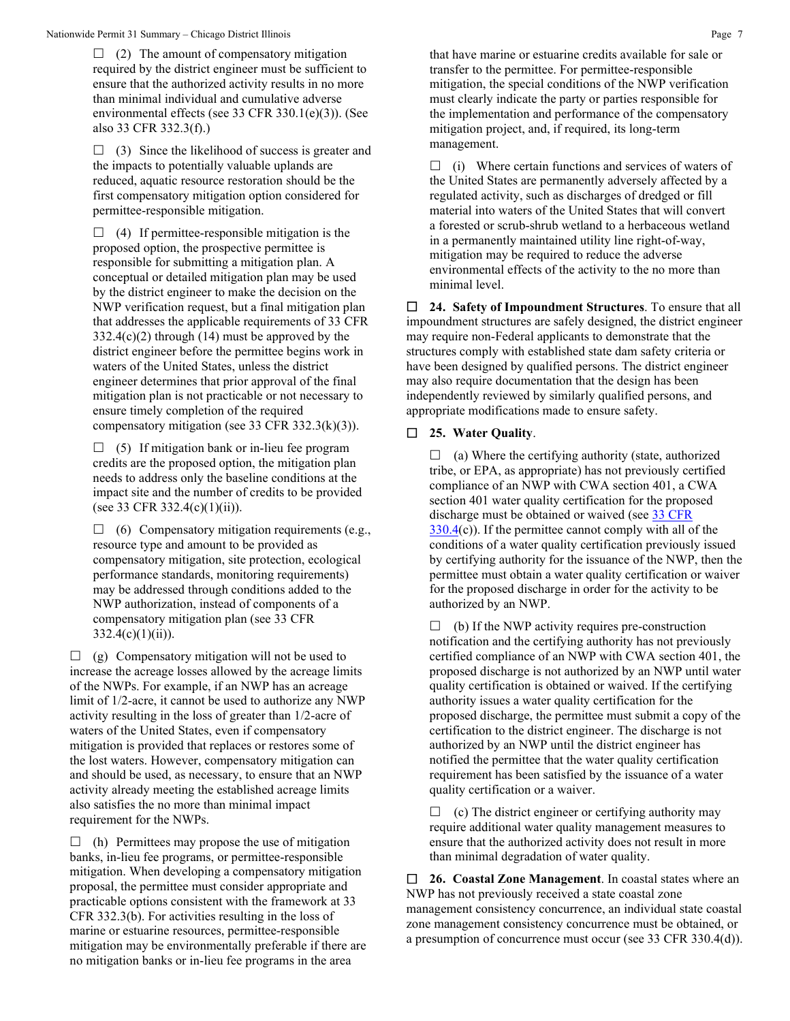$\Box$  (2) The amount of compensatory mitigation required by the district engineer must be sufficient to ensure that the authorized activity results in no more than minimal individual and cumulative adverse environmental effects (see 33 CFR 330.1(e)(3)). (See also 33 CFR 332.3(f).)

 $\Box$  (3) Since the likelihood of success is greater and the impacts to potentially valuable uplands are reduced, aquatic resource restoration should be the first compensatory mitigation option considered for permittee-responsible mitigation.

 $\Box$  (4) If permittee-responsible mitigation is the proposed option, the prospective permittee is responsible for submitting a mitigation plan. A conceptual or detailed mitigation plan may be used by the district engineer to make the decision on the NWP verification request, but a final mitigation plan that addresses the applicable requirements of 33 CFR  $332.4(c)(2)$  through (14) must be approved by the district engineer before the permittee begins work in waters of the United States, unless the district engineer determines that prior approval of the final mitigation plan is not practicable or not necessary to ensure timely completion of the required compensatory mitigation (see 33 CFR 332.3(k)(3)).

 $\Box$  (5) If mitigation bank or in-lieu fee program credits are the proposed option, the mitigation plan needs to address only the baseline conditions at the impact site and the number of credits to be provided (see 33 CFR 332.4(c)(1)(ii)).

 $\Box$  (6) Compensatory mitigation requirements (e.g., resource type and amount to be provided as compensatory mitigation, site protection, ecological performance standards, monitoring requirements) may be addressed through conditions added to the NWP authorization, instead of components of a compensatory mitigation plan (see 33 CFR  $332.4(c)(1)(ii)$ .

 $\Box$  (g) Compensatory mitigation will not be used to increase the acreage losses allowed by the acreage limits of the NWPs. For example, if an NWP has an acreage limit of 1/2-acre, it cannot be used to authorize any NWP activity resulting in the loss of greater than 1/2-acre of waters of the United States, even if compensatory mitigation is provided that replaces or restores some of the lost waters. However, compensatory mitigation can and should be used, as necessary, to ensure that an NWP activity already meeting the established acreage limits also satisfies the no more than minimal impact requirement for the NWPs.

 $\Box$  (h) Permittees may propose the use of mitigation banks, in-lieu fee programs, or permittee-responsible mitigation. When developing a compensatory mitigation proposal, the permittee must consider appropriate and practicable options consistent with the framework at 33 CFR 332.3(b). For activities resulting in the loss of marine or estuarine resources, permittee-responsible mitigation may be environmentally preferable if there are no mitigation banks or in-lieu fee programs in the area

that have marine or estuarine credits available for sale or transfer to the permittee. For permittee-responsible mitigation, the special conditions of the NWP verification must clearly indicate the party or parties responsible for the implementation and performance of the compensatory mitigation project, and, if required, its long-term management.

 $\Box$  (i) Where certain functions and services of waters of the United States are permanently adversely affected by a regulated activity, such as discharges of dredged or fill material into waters of the United States that will convert a forested or scrub-shrub wetland to a herbaceous wetland in a permanently maintained utility line right-of-way, mitigation may be required to reduce the adverse environmental effects of the activity to the no more than minimal level.

 **24. Safety of Impoundment Structures**. To ensure that all impoundment structures are safely designed, the district engineer may require non-Federal applicants to demonstrate that the structures comply with established state dam safety criteria or have been designed by qualified persons. The district engineer may also require documentation that the design has been independently reviewed by similarly qualified persons, and appropriate modifications made to ensure safety.

# **25. Water Quality**.

 $\Box$  (a) Where the certifying authority (state, authorized tribe, or EPA, as appropriate) has not previously certified compliance of an NWP with CWA section 401, a CWA section 401 water quality certification for the proposed discharge must be obtained or waived (see 33 CFR  $330.4(c)$  $330.4(c)$ ). If the permittee cannot comply with all of the conditions of a water quality certification previously issued by certifying authority for the issuance of the NWP, then the permittee must obtain a water quality certification or waiver for the proposed discharge in order for the activity to be authorized by an NWP.

 $\Box$  (b) If the NWP activity requires pre-construction notification and the certifying authority has not previously certified compliance of an NWP with CWA section 401, the proposed discharge is not authorized by an NWP until water quality certification is obtained or waived. If the certifying authority issues a water quality certification for the proposed discharge, the permittee must submit a copy of the certification to the district engineer. The discharge is not authorized by an NWP until the district engineer has notified the permittee that the water quality certification requirement has been satisfied by the issuance of a water quality certification or a waiver.

 $\Box$  (c) The district engineer or certifying authority may require additional water quality management measures to ensure that the authorized activity does not result in more than minimal degradation of water quality.

 **26. Coastal Zone Management**. In coastal states where an NWP has not previously received a state coastal zone management consistency concurrence, an individual state coastal zone management consistency concurrence must be obtained, or a presumption of concurrence must occur (see 33 CFR 330.4(d)).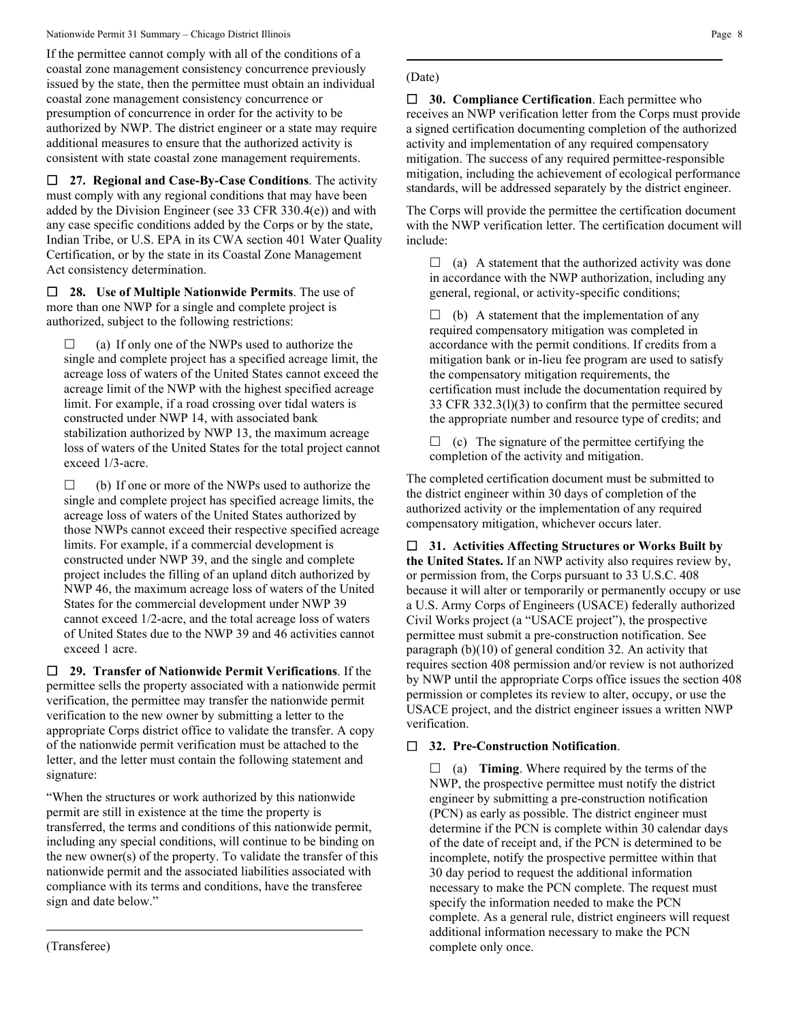If the permittee cannot comply with all of the conditions of a coastal zone management consistency concurrence previously issued by the state, then the permittee must obtain an individual coastal zone management consistency concurrence or presumption of concurrence in order for the activity to be authorized by NWP. The district engineer or a state may require additional measures to ensure that the authorized activity is consistent with state coastal zone management requirements.

 **27. Regional and Case-By-Case Conditions**. The activity must comply with any regional conditions that may have been added by the Division Engineer (see 33 CFR 330.4(e)) and with any case specific conditions added by the Corps or by the state, Indian Tribe, or U.S. EPA in its CWA section 401 Water Quality Certification, or by the state in its Coastal Zone Management Act consistency determination.

 **28. Use of Multiple Nationwide Permits**. The use of more than one NWP for a single and complete project is authorized, subject to the following restrictions:

 (a) If only one of the NWPs used to authorize the single and complete project has a specified acreage limit, the acreage loss of waters of the United States cannot exceed the acreage limit of the NWP with the highest specified acreage limit. For example, if a road crossing over tidal waters is constructed under NWP 14, with associated bank stabilization authorized by NWP 13, the maximum acreage loss of waters of the United States for the total project cannot exceed 1/3-acre.

 $\Box$  (b) If one or more of the NWPs used to authorize the single and complete project has specified acreage limits, the acreage loss of waters of the United States authorized by those NWPs cannot exceed their respective specified acreage limits. For example, if a commercial development is constructed under NWP 39, and the single and complete project includes the filling of an upland ditch authorized by NWP 46, the maximum acreage loss of waters of the United States for the commercial development under NWP 39 cannot exceed 1/2-acre, and the total acreage loss of waters of United States due to the NWP 39 and 46 activities cannot exceed 1 acre.

 **29. Transfer of Nationwide Permit Verifications**. If the permittee sells the property associated with a nationwide permit verification, the permittee may transfer the nationwide permit verification to the new owner by submitting a letter to the appropriate Corps district office to validate the transfer. A copy of the nationwide permit verification must be attached to the letter, and the letter must contain the following statement and signature:

"When the structures or work authorized by this nationwide permit are still in existence at the time the property is transferred, the terms and conditions of this nationwide permit, including any special conditions, will continue to be binding on the new owner(s) of the property. To validate the transfer of this nationwide permit and the associated liabilities associated with compliance with its terms and conditions, have the transferee sign and date below."

# (Date)

 **30. Compliance Certification**. Each permittee who receives an NWP verification letter from the Corps must provide a signed certification documenting completion of the authorized activity and implementation of any required compensatory mitigation. The success of any required permittee-responsible mitigation, including the achievement of ecological performance standards, will be addressed separately by the district engineer.

The Corps will provide the permittee the certification document with the NWP verification letter. The certification document will include:

 $\Box$  (a) A statement that the authorized activity was done in accordance with the NWP authorization, including any general, regional, or activity-specific conditions;

 $\Box$  (b) A statement that the implementation of any required compensatory mitigation was completed in accordance with the permit conditions. If credits from a mitigation bank or in-lieu fee program are used to satisfy the compensatory mitigation requirements, the certification must include the documentation required by 33 CFR 332.3(l)(3) to confirm that the permittee secured the appropriate number and resource type of credits; and

 $\Box$  (c) The signature of the permittee certifying the completion of the activity and mitigation.

The completed certification document must be submitted to the district engineer within 30 days of completion of the authorized activity or the implementation of any required compensatory mitigation, whichever occurs later.

 **31. Activities Affecting Structures or Works Built by the United States.** If an NWP activity also requires review by, or permission from, the Corps pursuant to 33 U.S.C. 408 because it will alter or temporarily or permanently occupy or use a U.S. Army Corps of Engineers (USACE) federally authorized Civil Works project (a "USACE project"), the prospective permittee must submit a pre-construction notification. See paragraph (b)(10) of general condition 32. An activity that requires section 408 permission and/or review is not authorized by NWP until the appropriate Corps office issues the section 408 permission or completes its review to alter, occupy, or use the USACE project, and the district engineer issues a written NWP verification.

# **32. Pre-Construction Notification**.

 $\Box$  (a) **Timing**. Where required by the terms of the NWP, the prospective permittee must notify the district engineer by submitting a pre-construction notification (PCN) as early as possible. The district engineer must determine if the PCN is complete within 30 calendar days of the date of receipt and, if the PCN is determined to be incomplete, notify the prospective permittee within that 30 day period to request the additional information necessary to make the PCN complete. The request must specify the information needed to make the PCN complete. As a general rule, district engineers will request additional information necessary to make the PCN complete only once.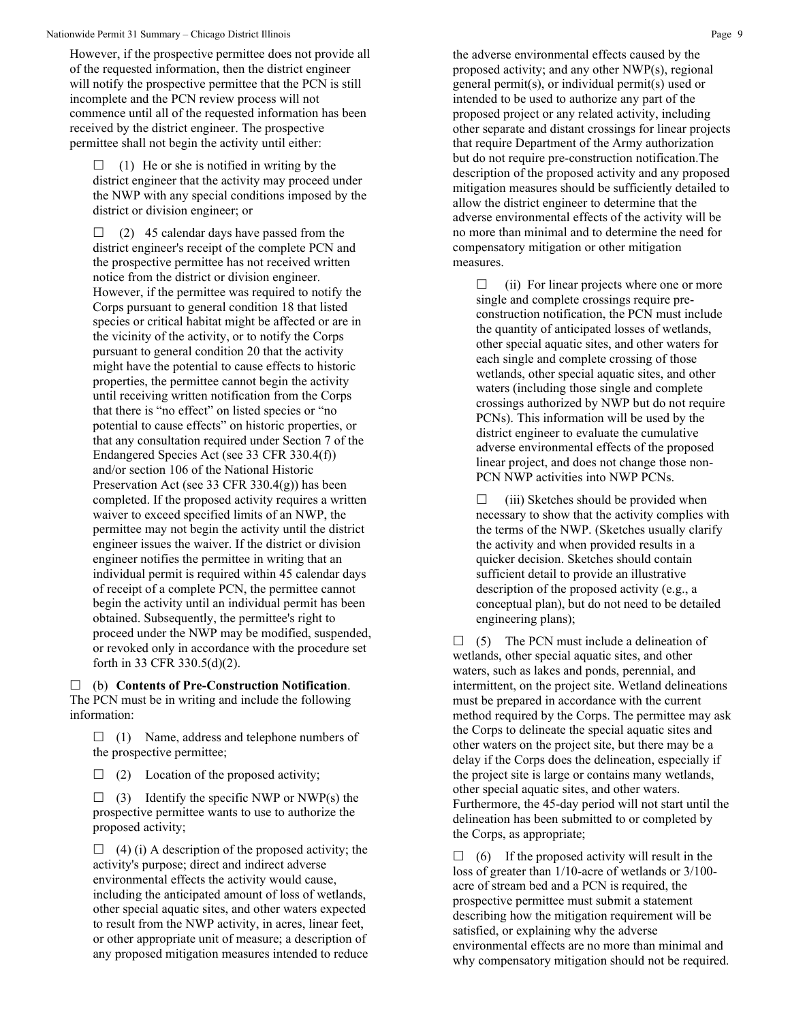However, if the prospective permittee does not provide all of the requested information, then the district engineer will notify the prospective permittee that the PCN is still incomplete and the PCN review process will not commence until all of the requested information has been received by the district engineer. The prospective permittee shall not begin the activity until either:

 $\Box$  (1) He or she is notified in writing by the district engineer that the activity may proceed under the NWP with any special conditions imposed by the district or division engineer; or

 $\Box$  (2) 45 calendar days have passed from the district engineer's receipt of the complete PCN and the prospective permittee has not received written notice from the district or division engineer. However, if the permittee was required to notify the Corps pursuant to general condition 18 that listed species or critical habitat might be affected or are in the vicinity of the activity, or to notify the Corps pursuant to general condition 20 that the activity might have the potential to cause effects to historic properties, the permittee cannot begin the activity until receiving written notification from the Corps that there is "no effect" on listed species or "no potential to cause effects" on historic properties, or that any consultation required under Section 7 of the Endangered Species Act (see 33 CFR 330.4(f)) and/or section 106 of the National Historic Preservation Act (see 33 CFR 330.4(g)) has been completed. If the proposed activity requires a written waiver to exceed specified limits of an NWP, the permittee may not begin the activity until the district engineer issues the waiver. If the district or division engineer notifies the permittee in writing that an individual permit is required within 45 calendar days of receipt of a complete PCN, the permittee cannot begin the activity until an individual permit has been obtained. Subsequently, the permittee's right to proceed under the NWP may be modified, suspended, or revoked only in accordance with the procedure set forth in 33 CFR 330.5(d)(2).

 (b) **Contents of Pre-Construction Notification**. The PCN must be in writing and include the following information:

 $\Box$  (1) Name, address and telephone numbers of the prospective permittee;

 $\Box$  (2) Location of the proposed activity;

 $\Box$  (3) Identify the specific NWP or NWP(s) the prospective permittee wants to use to authorize the proposed activity;

 $\Box$  (4) (i) A description of the proposed activity; the activity's purpose; direct and indirect adverse environmental effects the activity would cause, including the anticipated amount of loss of wetlands, other special aquatic sites, and other waters expected to result from the NWP activity, in acres, linear feet, or other appropriate unit of measure; a description of any proposed mitigation measures intended to reduce

the adverse environmental effects caused by the proposed activity; and any other NWP(s), regional general permit(s), or individual permit(s) used or intended to be used to authorize any part of the proposed project or any related activity, including other separate and distant crossings for linear projects that require Department of the Army authorization but do not require pre-construction notification.The description of the proposed activity and any proposed mitigation measures should be sufficiently detailed to allow the district engineer to determine that the adverse environmental effects of the activity will be no more than minimal and to determine the need for compensatory mitigation or other mitigation measures.

 $\Box$  (ii) For linear projects where one or more single and complete crossings require preconstruction notification, the PCN must include the quantity of anticipated losses of wetlands, other special aquatic sites, and other waters for each single and complete crossing of those wetlands, other special aquatic sites, and other waters (including those single and complete crossings authorized by NWP but do not require PCNs). This information will be used by the district engineer to evaluate the cumulative adverse environmental effects of the proposed linear project, and does not change those non-PCN NWP activities into NWP PCNs.

 $\Box$  (iii) Sketches should be provided when necessary to show that the activity complies with the terms of the NWP. (Sketches usually clarify the activity and when provided results in a quicker decision. Sketches should contain sufficient detail to provide an illustrative description of the proposed activity (e.g., a conceptual plan), but do not need to be detailed engineering plans);

 $\Box$  (5) The PCN must include a delineation of wetlands, other special aquatic sites, and other waters, such as lakes and ponds, perennial, and intermittent, on the project site. Wetland delineations must be prepared in accordance with the current method required by the Corps. The permittee may ask the Corps to delineate the special aquatic sites and other waters on the project site, but there may be a delay if the Corps does the delineation, especially if the project site is large or contains many wetlands, other special aquatic sites, and other waters. Furthermore, the 45-day period will not start until the delineation has been submitted to or completed by the Corps, as appropriate;

 $\Box$  (6) If the proposed activity will result in the loss of greater than 1/10-acre of wetlands or 3/100 acre of stream bed and a PCN is required, the prospective permittee must submit a statement describing how the mitigation requirement will be satisfied, or explaining why the adverse environmental effects are no more than minimal and why compensatory mitigation should not be required.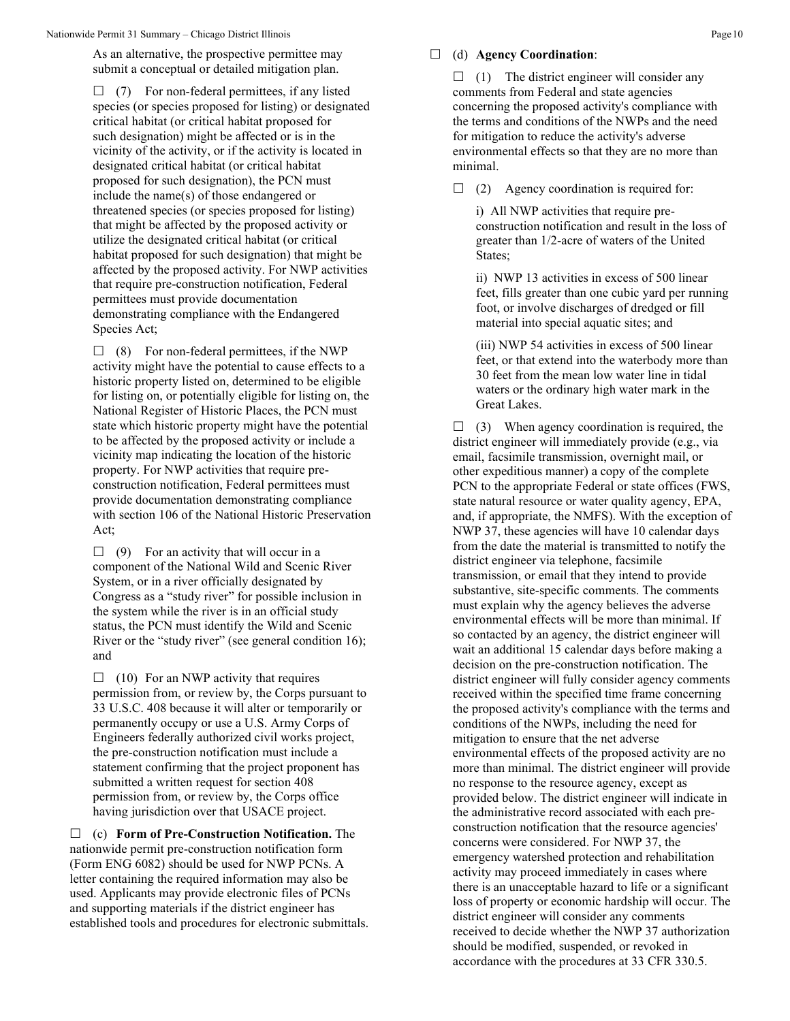As an alternative, the prospective permittee may submit a conceptual or detailed mitigation plan.

 $\Box$  (7) For non-federal permittees, if any listed species (or species proposed for listing) or designated critical habitat (or critical habitat proposed for such designation) might be affected or is in the vicinity of the activity, or if the activity is located in designated critical habitat (or critical habitat proposed for such designation), the PCN must include the name(s) of those endangered or threatened species (or species proposed for listing) that might be affected by the proposed activity or utilize the designated critical habitat (or critical habitat proposed for such designation) that might be affected by the proposed activity. For NWP activities that require pre-construction notification, Federal permittees must provide documentation demonstrating compliance with the Endangered Species Act;

 $\Box$  (8) For non-federal permittees, if the NWP activity might have the potential to cause effects to a historic property listed on, determined to be eligible for listing on, or potentially eligible for listing on, the National Register of Historic Places, the PCN must state which historic property might have the potential to be affected by the proposed activity or include a vicinity map indicating the location of the historic property. For NWP activities that require preconstruction notification, Federal permittees must provide documentation demonstrating compliance with section 106 of the National Historic Preservation Act;

 $\Box$  (9) For an activity that will occur in a component of the National Wild and Scenic River System, or in a river officially designated by Congress as a "study river" for possible inclusion in the system while the river is in an official study status, the PCN must identify the Wild and Scenic River or the "study river" (see general condition 16); and

 $\Box$  (10) For an NWP activity that requires permission from, or review by, the Corps pursuant to 33 U.S.C. 408 because it will alter or temporarily or permanently occupy or use a U.S. Army Corps of Engineers federally authorized civil works project, the pre-construction notification must include a statement confirming that the project proponent has submitted a written request for section 408 permission from, or review by, the Corps office having jurisdiction over that USACE project.

 (c) **Form of Pre-Construction Notification.** The nationwide permit pre-construction notification form (Form ENG 6082) should be used for NWP PCNs. A letter containing the required information may also be used. Applicants may provide electronic files of PCNs and supporting materials if the district engineer has established tools and procedures for electronic submittals.

### (d) **Agency Coordination**:

 $\Box$  (1) The district engineer will consider any comments from Federal and state agencies concerning the proposed activity's compliance with the terms and conditions of the NWPs and the need for mitigation to reduce the activity's adverse environmental effects so that they are no more than minimal.

 $\Box$  (2) Agency coordination is required for:

i) All NWP activities that require preconstruction notification and result in the loss of greater than 1/2-acre of waters of the United States;

ii) NWP 13 activities in excess of 500 linear feet, fills greater than one cubic yard per running foot, or involve discharges of dredged or fill material into special aquatic sites; and

(iii) NWP 54 activities in excess of 500 linear feet, or that extend into the waterbody more than 30 feet from the mean low water line in tidal waters or the ordinary high water mark in the Great Lakes.

 $\Box$  (3) When agency coordination is required, the district engineer will immediately provide (e.g., via email, facsimile transmission, overnight mail, or other expeditious manner) a copy of the complete PCN to the appropriate Federal or state offices (FWS, state natural resource or water quality agency, EPA, and, if appropriate, the NMFS). With the exception of NWP 37, these agencies will have 10 calendar days from the date the material is transmitted to notify the district engineer via telephone, facsimile transmission, or email that they intend to provide substantive, site-specific comments. The comments must explain why the agency believes the adverse environmental effects will be more than minimal. If so contacted by an agency, the district engineer will wait an additional 15 calendar days before making a decision on the pre-construction notification. The district engineer will fully consider agency comments received within the specified time frame concerning the proposed activity's compliance with the terms and conditions of the NWPs, including the need for mitigation to ensure that the net adverse environmental effects of the proposed activity are no more than minimal. The district engineer will provide no response to the resource agency, except as provided below. The district engineer will indicate in the administrative record associated with each preconstruction notification that the resource agencies' concerns were considered. For NWP 37, the emergency watershed protection and rehabilitation activity may proceed immediately in cases where there is an unacceptable hazard to life or a significant loss of property or economic hardship will occur. The district engineer will consider any comments received to decide whether the NWP 37 authorization should be modified, suspended, or revoked in accordance with the procedures at 33 CFR 330.5.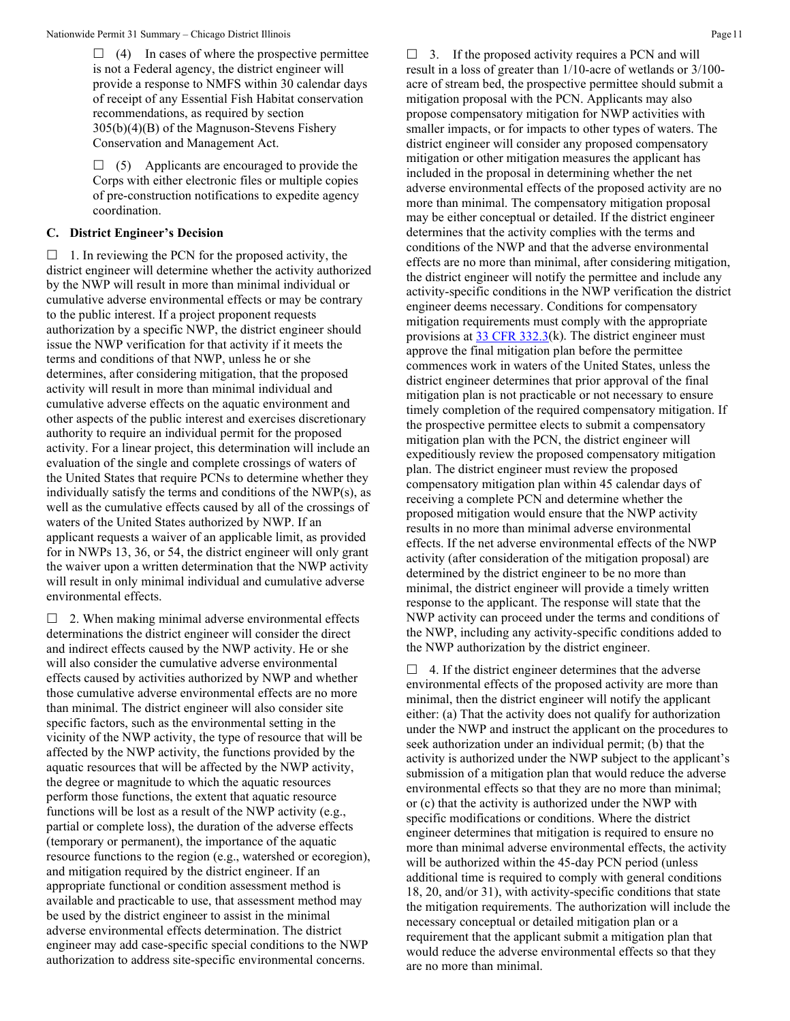### Nationwide Permit 31 Summary – Chicago District Illinois **Page 11**  $\frac{1}{2}$

 $\Box$  (4) In cases of where the prospective permittee is not a Federal agency, the district engineer will provide a response to NMFS within 30 calendar days of receipt of any Essential Fish Habitat conservation recommendations, as required by section 305(b)(4)(B) of the Magnuson-Stevens Fishery Conservation and Management Act.

 $\Box$  (5) Applicants are encouraged to provide the Corps with either electronic files or multiple copies of pre-construction notifications to expedite agency coordination.

# **C. District Engineer's Decision**

 $\Box$  1. In reviewing the PCN for the proposed activity, the district engineer will determine whether the activity authorized by the NWP will result in more than minimal individual or cumulative adverse environmental effects or may be contrary to the public interest. If a project proponent requests authorization by a specific NWP, the district engineer should issue the NWP verification for that activity if it meets the terms and conditions of that NWP, unless he or she determines, after considering mitigation, that the proposed activity will result in more than minimal individual and cumulative adverse effects on the aquatic environment and other aspects of the public interest and exercises discretionary authority to require an individual permit for the proposed activity. For a linear project, this determination will include an evaluation of the single and complete crossings of waters of the United States that require PCNs to determine whether they individually satisfy the terms and conditions of the NWP(s), as well as the cumulative effects caused by all of the crossings of waters of the United States authorized by NWP. If an applicant requests a waiver of an applicable limit, as provided for in NWPs 13, 36, or 54, the district engineer will only grant the waiver upon a written determination that the NWP activity will result in only minimal individual and cumulative adverse environmental effects.

 $\Box$  2. When making minimal adverse environmental effects determinations the district engineer will consider the direct and indirect effects caused by the NWP activity. He or she will also consider the cumulative adverse environmental effects caused by activities authorized by NWP and whether those cumulative adverse environmental effects are no more than minimal. The district engineer will also consider site specific factors, such as the environmental setting in the vicinity of the NWP activity, the type of resource that will be affected by the NWP activity, the functions provided by the aquatic resources that will be affected by the NWP activity, the degree or magnitude to which the aquatic resources perform those functions, the extent that aquatic resource functions will be lost as a result of the NWP activity (e.g., partial or complete loss), the duration of the adverse effects (temporary or permanent), the importance of the aquatic resource functions to the region (e.g., watershed or ecoregion), and mitigation required by the district engineer. If an appropriate functional or condition assessment method is available and practicable to use, that assessment method may be used by the district engineer to assist in the minimal adverse environmental effects determination. The district engineer may add case-specific special conditions to the NWP authorization to address site-specific environmental concerns.

 $\Box$  3. If the proposed activity requires a PCN and will result in a loss of greater than 1/10-acre of wetlands or 3/100 acre of stream bed, the prospective permittee should submit a mitigation proposal with the PCN. Applicants may also propose compensatory mitigation for NWP activities with smaller impacts, or for impacts to other types of waters. The district engineer will consider any proposed compensatory mitigation or other mitigation measures the applicant has included in the proposal in determining whether the net adverse environmental effects of the proposed activity are no more than minimal. The compensatory mitigation proposal may be either conceptual or detailed. If the district engineer determines that the activity complies with the terms and conditions of the NWP and that the adverse environmental effects are no more than minimal, after considering mitigation, the district engineer will notify the permittee and include any activity-specific conditions in the NWP verification the district engineer deems necessary. Conditions for compensatory mitigation requirements must comply with the appropriate provisions at [33 CFR 332.3\(](https://www.federalregister.gov/select-citation/2021/01/13/33-CFR-332.3)k). The district engineer must approve the final mitigation plan before the permittee commences work in waters of the United States, unless the district engineer determines that prior approval of the final mitigation plan is not practicable or not necessary to ensure timely completion of the required compensatory mitigation. If the prospective permittee elects to submit a compensatory mitigation plan with the PCN, the district engineer will expeditiously review the proposed compensatory mitigation plan. The district engineer must review the proposed compensatory mitigation plan within 45 calendar days of receiving a complete PCN and determine whether the proposed mitigation would ensure that the NWP activity results in no more than minimal adverse environmental effects. If the net adverse environmental effects of the NWP activity (after consideration of the mitigation proposal) are determined by the district engineer to be no more than minimal, the district engineer will provide a timely written response to the applicant. The response will state that the NWP activity can proceed under the terms and conditions of the NWP, including any activity-specific conditions added to the NWP authorization by the district engineer.

 $\Box$  4. If the district engineer determines that the adverse environmental effects of the proposed activity are more than minimal, then the district engineer will notify the applicant either: (a) That the activity does not qualify for authorization under the NWP and instruct the applicant on the procedures to seek authorization under an individual permit; (b) that the activity is authorized under the NWP subject to the applicant's submission of a mitigation plan that would reduce the adverse environmental effects so that they are no more than minimal; or (c) that the activity is authorized under the NWP with specific modifications or conditions. Where the district engineer determines that mitigation is required to ensure no more than minimal adverse environmental effects, the activity will be authorized within the 45-day PCN period (unless additional time is required to comply with general conditions 18, 20, and/or 31), with activity-specific conditions that state the mitigation requirements. The authorization will include the necessary conceptual or detailed mitigation plan or a requirement that the applicant submit a mitigation plan that would reduce the adverse environmental effects so that they are no more than minimal.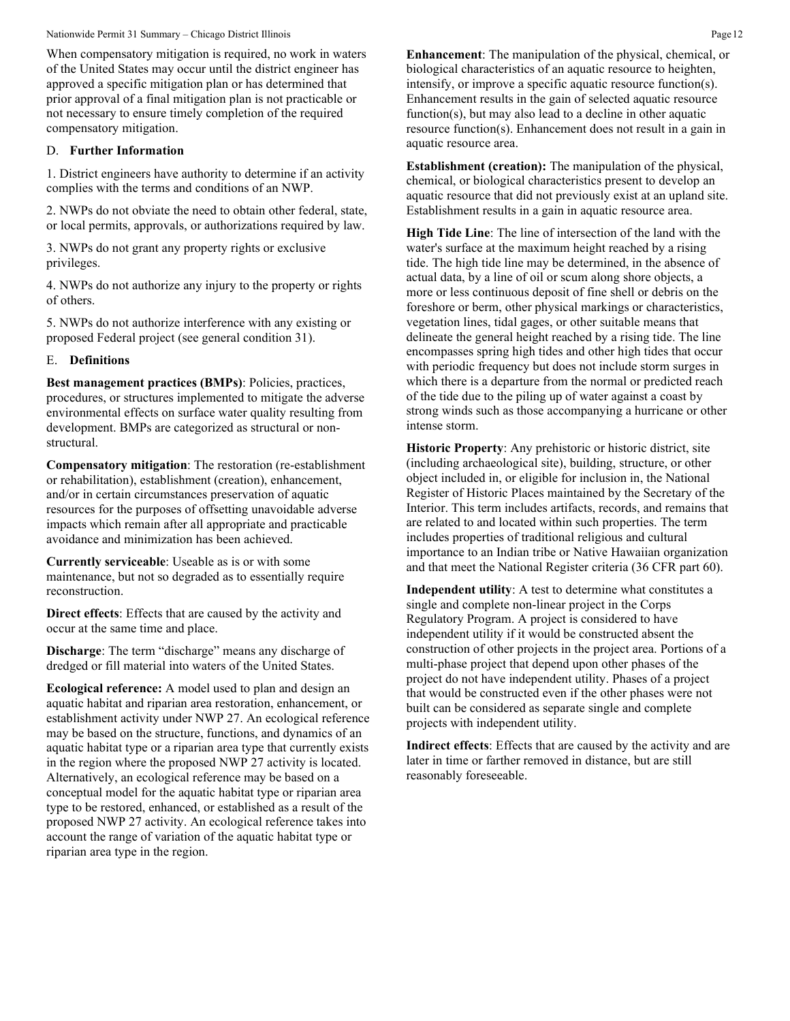When compensatory mitigation is required, no work in waters of the United States may occur until the district engineer has approved a specific mitigation plan or has determined that prior approval of a final mitigation plan is not practicable or not necessary to ensure timely completion of the required compensatory mitigation.

# D. **Further Information**

1. District engineers have authority to determine if an activity complies with the terms and conditions of an NWP.

2. NWPs do not obviate the need to obtain other federal, state, or local permits, approvals, or authorizations required by law.

3. NWPs do not grant any property rights or exclusive privileges.

4. NWPs do not authorize any injury to the property or rights of others.

5. NWPs do not authorize interference with any existing or proposed Federal project (see general condition 31).

# E. **Definitions**

**Best management practices (BMPs)**: Policies, practices, procedures, or structures implemented to mitigate the adverse environmental effects on surface water quality resulting from development. BMPs are categorized as structural or nonstructural.

**Compensatory mitigation**: The restoration (re-establishment or rehabilitation), establishment (creation), enhancement, and/or in certain circumstances preservation of aquatic resources for the purposes of offsetting unavoidable adverse impacts which remain after all appropriate and practicable avoidance and minimization has been achieved.

**Currently serviceable**: Useable as is or with some maintenance, but not so degraded as to essentially require reconstruction.

**Direct effects**: Effects that are caused by the activity and occur at the same time and place.

**Discharge**: The term "discharge" means any discharge of dredged or fill material into waters of the United States.

**Ecological reference:** A model used to plan and design an aquatic habitat and riparian area restoration, enhancement, or establishment activity under NWP 27. An ecological reference may be based on the structure, functions, and dynamics of an aquatic habitat type or a riparian area type that currently exists in the region where the proposed NWP 27 activity is located. Alternatively, an ecological reference may be based on a conceptual model for the aquatic habitat type or riparian area type to be restored, enhanced, or established as a result of the proposed NWP 27 activity. An ecological reference takes into account the range of variation of the aquatic habitat type or riparian area type in the region.

**Enhancement**: The manipulation of the physical, chemical, or biological characteristics of an aquatic resource to heighten, intensify, or improve a specific aquatic resource function(s). Enhancement results in the gain of selected aquatic resource function(s), but may also lead to a decline in other aquatic resource function(s). Enhancement does not result in a gain in aquatic resource area.

**Establishment (creation):** The manipulation of the physical, chemical, or biological characteristics present to develop an aquatic resource that did not previously exist at an upland site. Establishment results in a gain in aquatic resource area.

**High Tide Line**: The line of intersection of the land with the water's surface at the maximum height reached by a rising tide. The high tide line may be determined, in the absence of actual data, by a line of oil or scum along shore objects, a more or less continuous deposit of fine shell or debris on the foreshore or berm, other physical markings or characteristics, vegetation lines, tidal gages, or other suitable means that delineate the general height reached by a rising tide. The line encompasses spring high tides and other high tides that occur with periodic frequency but does not include storm surges in which there is a departure from the normal or predicted reach of the tide due to the piling up of water against a coast by strong winds such as those accompanying a hurricane or other intense storm.

**Historic Property**: Any prehistoric or historic district, site (including archaeological site), building, structure, or other object included in, or eligible for inclusion in, the National Register of Historic Places maintained by the Secretary of the Interior. This term includes artifacts, records, and remains that are related to and located within such properties. The term includes properties of traditional religious and cultural importance to an Indian tribe or Native Hawaiian organization and that meet the National Register criteria (36 CFR part 60).

**Independent utility**: A test to determine what constitutes a single and complete non-linear project in the Corps Regulatory Program. A project is considered to have independent utility if it would be constructed absent the construction of other projects in the project area. Portions of a multi-phase project that depend upon other phases of the project do not have independent utility. Phases of a project that would be constructed even if the other phases were not built can be considered as separate single and complete projects with independent utility.

**Indirect effects**: Effects that are caused by the activity and are later in time or farther removed in distance, but are still reasonably foreseeable.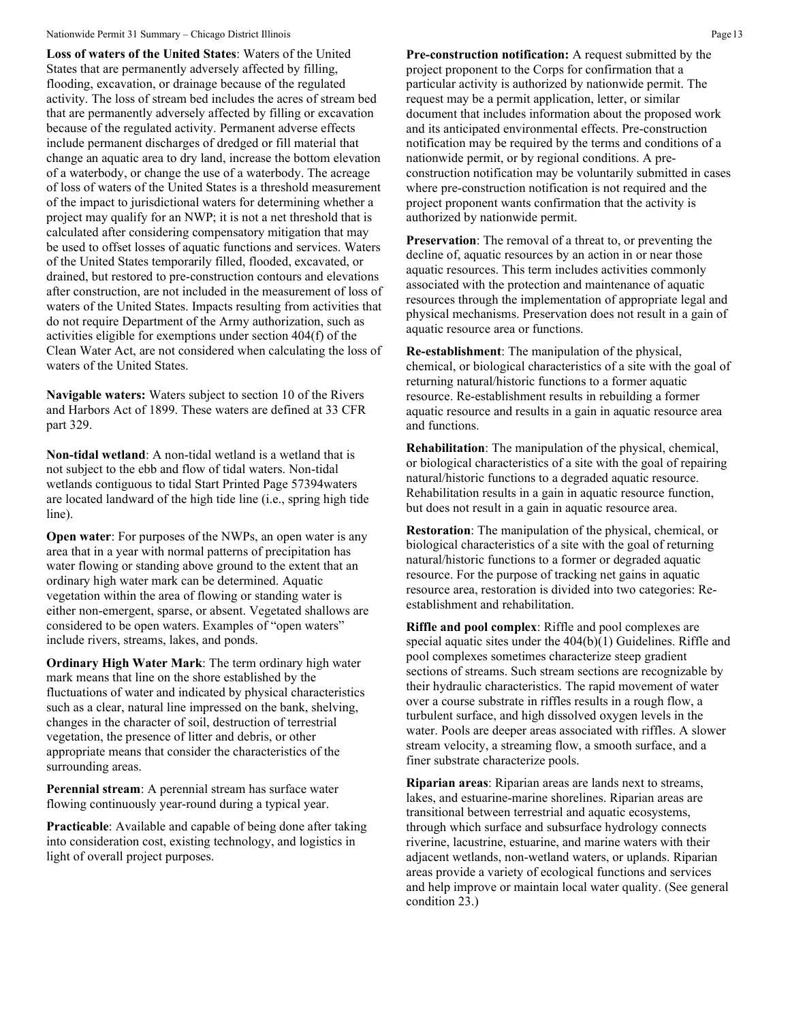**Loss of waters of the United States**: Waters of the United States that are permanently adversely affected by filling, flooding, excavation, or drainage because of the regulated activity. The loss of stream bed includes the acres of stream bed that are permanently adversely affected by filling or excavation because of the regulated activity. Permanent adverse effects include permanent discharges of dredged or fill material that change an aquatic area to dry land, increase the bottom elevation of a waterbody, or change the use of a waterbody. The acreage of loss of waters of the United States is a threshold measurement of the impact to jurisdictional waters for determining whether a project may qualify for an NWP; it is not a net threshold that is calculated after considering compensatory mitigation that may be used to offset losses of aquatic functions and services. Waters of the United States temporarily filled, flooded, excavated, or drained, but restored to pre-construction contours and elevations after construction, are not included in the measurement of loss of waters of the United States. Impacts resulting from activities that do not require Department of the Army authorization, such as activities eligible for exemptions under section 404(f) of the Clean Water Act, are not considered when calculating the loss of waters of the United States.

**Navigable waters:** Waters subject to section 10 of the Rivers and Harbors Act of 1899. These waters are defined at 33 CFR part 329.

**Non-tidal wetland**: A non-tidal wetland is a wetland that is not subject to the ebb and flow of tidal waters. Non-tidal wetlands contiguous to tidal Start Printed Page 57394waters are located landward of the high tide line (i.e., spring high tide line).

**Open water:** For purposes of the NWPs, an open water is any area that in a year with normal patterns of precipitation has water flowing or standing above ground to the extent that an ordinary high water mark can be determined. Aquatic vegetation within the area of flowing or standing water is either non-emergent, sparse, or absent. Vegetated shallows are considered to be open waters. Examples of "open waters" include rivers, streams, lakes, and ponds.

**Ordinary High Water Mark**: The term ordinary high water mark means that line on the shore established by the fluctuations of water and indicated by physical characteristics such as a clear, natural line impressed on the bank, shelving, changes in the character of soil, destruction of terrestrial vegetation, the presence of litter and debris, or other appropriate means that consider the characteristics of the surrounding areas.

**Perennial stream**: A perennial stream has surface water flowing continuously year-round during a typical year.

**Practicable:** Available and capable of being done after taking into consideration cost, existing technology, and logistics in light of overall project purposes.

**Pre-construction notification:** A request submitted by the project proponent to the Corps for confirmation that a particular activity is authorized by nationwide permit. The request may be a permit application, letter, or similar document that includes information about the proposed work and its anticipated environmental effects. Pre-construction notification may be required by the terms and conditions of a nationwide permit, or by regional conditions. A preconstruction notification may be voluntarily submitted in cases where pre-construction notification is not required and the project proponent wants confirmation that the activity is authorized by nationwide permit.

**Preservation**: The removal of a threat to, or preventing the decline of, aquatic resources by an action in or near those aquatic resources. This term includes activities commonly associated with the protection and maintenance of aquatic resources through the implementation of appropriate legal and physical mechanisms. Preservation does not result in a gain of aquatic resource area or functions.

**Re-establishment**: The manipulation of the physical, chemical, or biological characteristics of a site with the goal of returning natural/historic functions to a former aquatic resource. Re-establishment results in rebuilding a former aquatic resource and results in a gain in aquatic resource area and functions.

**Rehabilitation**: The manipulation of the physical, chemical, or biological characteristics of a site with the goal of repairing natural/historic functions to a degraded aquatic resource. Rehabilitation results in a gain in aquatic resource function, but does not result in a gain in aquatic resource area.

**Restoration**: The manipulation of the physical, chemical, or biological characteristics of a site with the goal of returning natural/historic functions to a former or degraded aquatic resource. For the purpose of tracking net gains in aquatic resource area, restoration is divided into two categories: Reestablishment and rehabilitation.

**Riffle and pool complex**: Riffle and pool complexes are special aquatic sites under the 404(b)(1) Guidelines. Riffle and pool complexes sometimes characterize steep gradient sections of streams. Such stream sections are recognizable by their hydraulic characteristics. The rapid movement of water over a course substrate in riffles results in a rough flow, a turbulent surface, and high dissolved oxygen levels in the water. Pools are deeper areas associated with riffles. A slower stream velocity, a streaming flow, a smooth surface, and a finer substrate characterize pools.

**Riparian areas**: Riparian areas are lands next to streams, lakes, and estuarine-marine shorelines. Riparian areas are transitional between terrestrial and aquatic ecosystems, through which surface and subsurface hydrology connects riverine, lacustrine, estuarine, and marine waters with their adjacent wetlands, non-wetland waters, or uplands. Riparian areas provide a variety of ecological functions and services and help improve or maintain local water quality. (See general condition 23.)